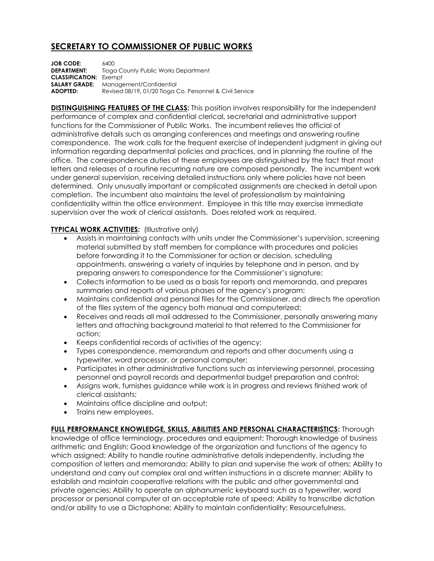## **SECRETARY TO COMMISSIONER OF PUBLIC WORKS**

**JOB CODE:** 6400 **DEPARTMENT:** Tioga County Public Works Department **CLASSIFICATION:** Exempt **SALARY GRADE:** Management/Confidential **ADOPTED:** Revised 08/19**,** 01/20 Tioga Co. Personnel & Civil Service

**DISTINGUISHING FEATURES OF THE CLASS:** This position involves responsibility for the independent performance of complex and confidential clerical, secretarial and administrative support functions for the Commissioner of Public Works. The incumbent relieves the official of administrative details such as arranging conferences and meetings and answering routine correspondence. The work calls for the frequent exercise of independent judgment in giving out information regarding departmental policies and practices, and in planning the routine of the office. The correspondence duties of these employees are distinguished by the fact that most letters and releases of a routine recurring nature are composed personally. The incumbent work under general supervision, receiving detailed instructions only where policies have not been determined. Only unusually important or complicated assignments are checked in detail upon completion. The incumbent also maintains the level of professionalism by maintaining confidentiality within the office environment. Employee in this title may exercise immediate supervision over the work of clerical assistants. Does related work as required.

## **TYPICAL WORK ACTIVITIES:** (Illustrative only)

- Assists in maintaining contacts with units under the Commissioner's supervision, screening material submitted by staff members for compliance with procedures and policies before forwarding it to the Commissioner for action or decision, scheduling appointments, answering a variety of inquiries by telephone and in person, and by preparing answers to correspondence for the Commissioner's signature;
- Collects information to be used as a basis for reports and memoranda, and prepares summaries and reports of various phases of the agency's program;
- Maintains confidential and personal files for the Commissioner, and directs the operation of the files system of the agency both manual and computerized;
- Receives and reads all mail addressed to the Commissioner, personally answering many letters and attaching background material to that referred to the Commissioner for action;
- Keeps confidential records of activities of the agency;
- Types correspondence, memorandum and reports and other documents using a typewriter, word processor, or personal computer;
- Participates in other administrative functions such as interviewing personnel, processing personnel and payroll records and departmental budget preparation and control;
- Assigns work, furnishes guidance while work is in progress and reviews finished work of clerical assistants;
- Maintains office discipline and output;
- Trains new employees.

**FULL PERFORMANCE KNOWLEDGE, SKILLS, ABILITIES AND PERSONAL CHARACTERISTICS:** Thorough knowledge of office terminology, procedures and equipment; Thorough knowledge of business arithmetic and English; Good knowledge of the organization and functions of the agency to which assigned; Ability to handle routine administrative details independently, including the composition of letters and memoranda; Ability to plan and supervise the work of others; Ability to understand and carry out complex oral and written instructions in a discrete manner; Ability to establish and maintain cooperative relations with the public and other governmental and private agencies; Ability to operate an alphanumeric keyboard such as a typewriter, word processor or personal computer at an acceptable rate of speed; Ability to transcribe dictation and/or ability to use a Dictaphone; Ability to maintain confidentiality; Resourcefulness,